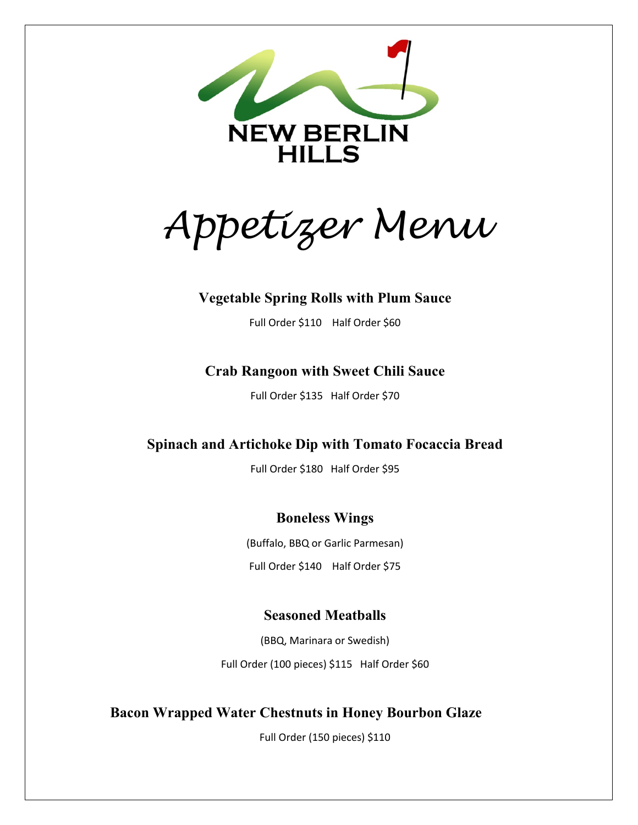

*Appetizer Menu* 

### **Vegetable Spring Rolls with Plum Sauce**

Full Order \$110 Half Order \$60

## **Crab Rangoon with Sweet Chili Sauce**

Full Order \$135 Half Order \$70

# **Spinach and Artichoke Dip with Tomato Focaccia Bread**

Full Order \$180 Half Order \$95

# **Boneless Wings**

(Buffalo, BBQ or Garlic Parmesan) Full Order \$140 Half Order \$75

# **Seasoned Meatballs**

(BBQ, Marinara or Swedish) Full Order (100 pieces) \$115 Half Order \$60

# **Bacon Wrapped Water Chestnuts in Honey Bourbon Glaze**

Full Order (150 pieces) \$110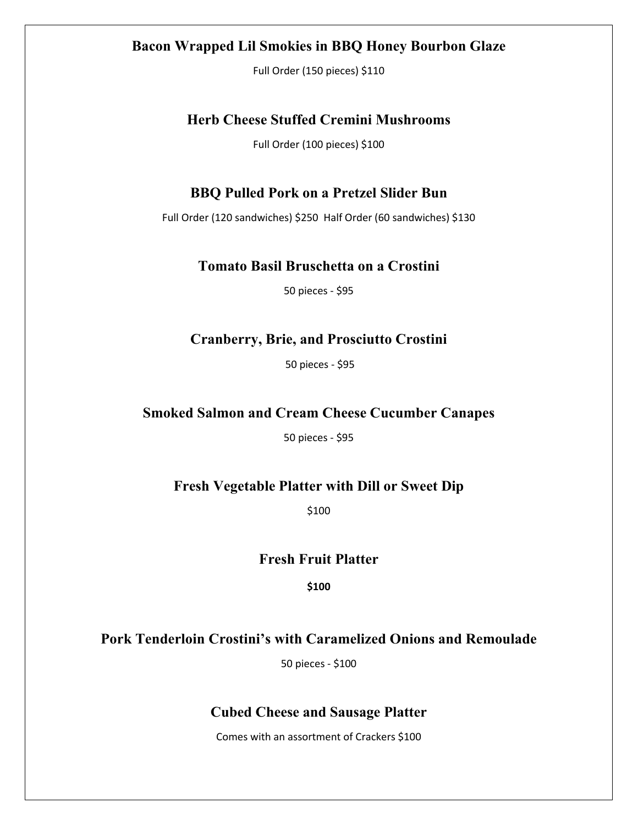#### **Bacon Wrapped Lil Smokies in BBQ Honey Bourbon Glaze**

Full Order (150 pieces) \$110

#### **Herb Cheese Stuffed Cremini Mushrooms**

Full Order (100 pieces) \$100

#### **BBQ Pulled Pork on a Pretzel Slider Bun**

Full Order (120 sandwiches) \$250 Half Order (60 sandwiches) \$130

#### **Tomato Basil Bruschetta on a Crostini**

50 pieces - \$95

### **Cranberry, Brie, and Prosciutto Crostini**

50 pieces - \$95

## **Smoked Salmon and Cream Cheese Cucumber Canapes**

50 pieces - \$95

### **Fresh Vegetable Platter with Dill or Sweet Dip**

\$100

#### **Fresh Fruit Platter**

**\$100**

### **Pork Tenderloin Crostini's with Caramelized Onions and Remoulade**

50 pieces - \$100

### **Cubed Cheese and Sausage Platter**

Comes with an assortment of Crackers \$100